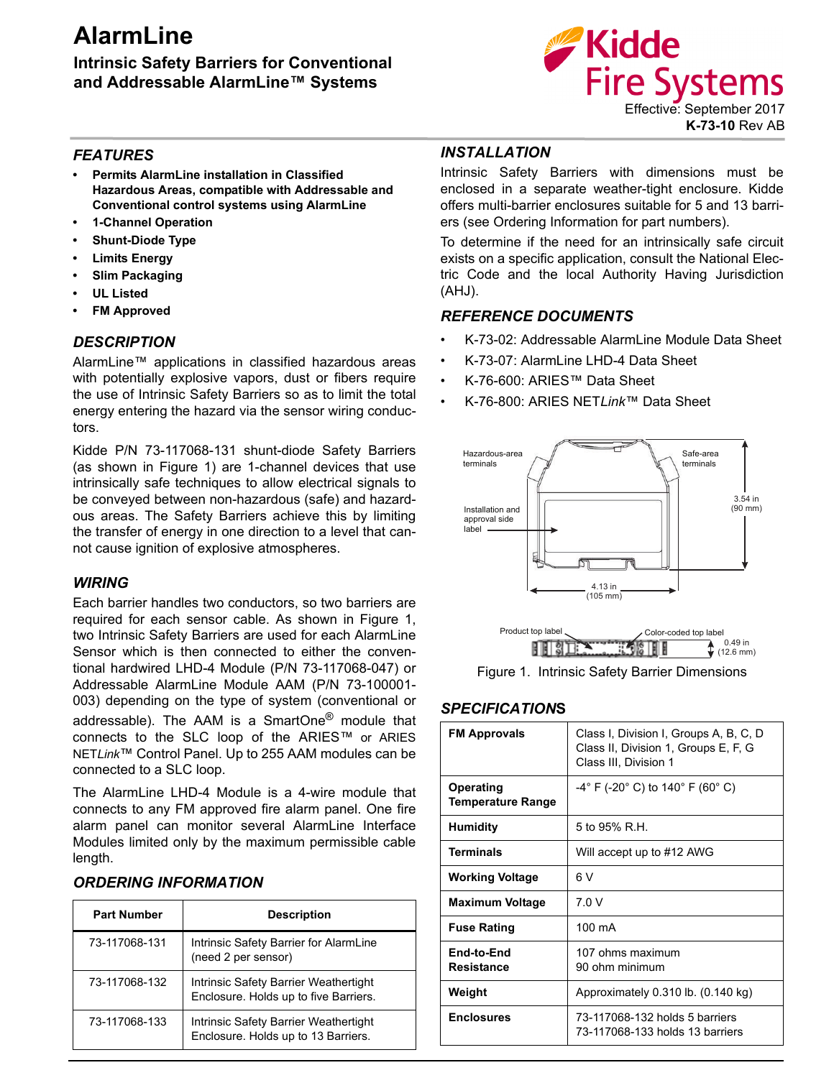# **AlarmLine**

## **Intrinsic Safety Barriers for Conventional and Addressable AlarmLine™ Systems**



#### *FEATURES*

- **Permits AlarmLine installation in Classified Hazardous Areas, compatible with Addressable and Conventional control systems using AlarmLine**
- **1-Channel Operation**
- **Shunt-Diode Type**
- **Limits Energy**
- **Slim Packaging**
- **UL Listed**
- **FM Approved**

#### *DESCRIPTION*

AlarmLine™ applications in classified hazardous areas with potentially explosive vapors, dust or fibers require the use of Intrinsic Safety Barriers so as to limit the total energy entering the hazard via the sensor wiring conductors.

Kidde P/N 73-117068-131 shunt-diode Safety Barriers (as shown in Figure 1) are 1-channel devices that use intrinsically safe techniques to allow electrical signals to be conveyed between non-hazardous (safe) and hazardous areas. The Safety Barriers achieve this by limiting the transfer of energy in one direction to a level that cannot cause ignition of explosive atmospheres.

#### *WIRING*

Each barrier handles two conductors, so two barriers are required for each sensor cable. As shown in Figure 1, two Intrinsic Safety Barriers are used for each AlarmLine Sensor which is then connected to either the conventional hardwired LHD-4 Module (P/N 73-117068-047) or Addressable AlarmLine Module AAM (P/N 73-100001- 003) depending on the type of system (conventional or addressable). The AAM is a SmartOne<sup>®</sup> module that connects to the SLC loop of the ARIES™ or ARIES NET*Link*™ Control Panel. Up to 255 AAM modules can be connected to a SLC loop.

The AlarmLine LHD-4 Module is a 4-wire module that connects to any FM approved fire alarm panel. One fire alarm panel can monitor several AlarmLine Interface Modules limited only by the maximum permissible cable length.

#### *ORDERING INFORMATION*

| <b>Part Number</b> | <b>Description</b>                                                             |
|--------------------|--------------------------------------------------------------------------------|
| 73-117068-131      | Intrinsic Safety Barrier for AlarmLine<br>(need 2 per sensor)                  |
| 73-117068-132      | Intrinsic Safety Barrier Weathertight<br>Enclosure. Holds up to five Barriers. |
| 73-117068-133      | Intrinsic Safety Barrier Weathertight<br>Enclosure. Holds up to 13 Barriers.   |

### *INSTALLATION*

Intrinsic Safety Barriers with dimensions must be enclosed in a separate weather-tight enclosure. Kidde offers multi-barrier enclosures suitable for 5 and 13 barriers (see Ordering Information for part numbers).

To determine if the need for an intrinsically safe circuit exists on a specific application, consult the National Electric Code and the local Authority Having Jurisdiction (AHJ).

#### *REFERENCE DOCUMENTS*

- K-73-02: Addressable AlarmLine Module Data Sheet
- K-73-07: AlarmLine LHD-4 Data Sheet
- K-76-600: ARIES™ Data Sheet
- K-76-800: ARIES NET*Link*™ Data Sheet







#### *SPECIFICATION***S**

| <b>FM Approvals</b>                   | Class I, Division I, Groups A, B, C, D<br>Class II, Division 1, Groups E, F, G<br>Class III, Division 1 |
|---------------------------------------|---------------------------------------------------------------------------------------------------------|
| Operating<br><b>Temperature Range</b> | $-4^{\circ}$ F (-20 $^{\circ}$ C) to 140 $^{\circ}$ F (60 $^{\circ}$ C)                                 |
| <b>Humidity</b>                       | 5 to 95% R.H.                                                                                           |
| <b>Terminals</b>                      | Will accept up to #12 AWG                                                                               |
| <b>Working Voltage</b>                | 6 V                                                                                                     |
| <b>Maximum Voltage</b>                | 7.0V                                                                                                    |
| <b>Fuse Rating</b>                    | 100 mA                                                                                                  |
| End-to-End<br><b>Resistance</b>       | 107 ohms maximum<br>90 ohm minimum                                                                      |
| Weight                                | Approximately 0.310 lb. (0.140 kg)                                                                      |
| <b>Enclosures</b>                     | 73-117068-132 holds 5 barriers<br>73-117068-133 holds 13 barriers                                       |